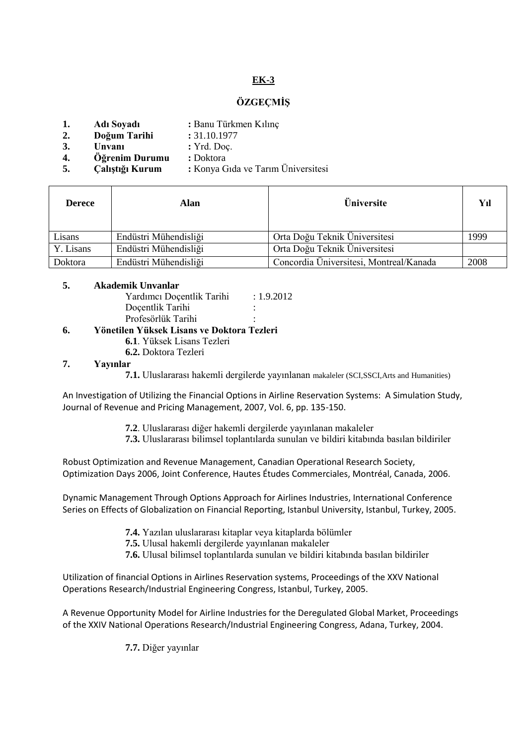# **EK-3**

## **ÖZGEÇMİŞ**

- **1. Adı Soyadı :** Banu Türkmen Kılınç
- **2. Doğum Tarihi :** 31.10.1977
- **3. Unvani :** Yrd. Doc.
- **4. Öğrenim Durumu :** Doktora
- **5. Çalıştığı Kurum :** Konya Gıda ve Tarım Üniversitesi

| <b>Derece</b> | Alan                  | <b>Üniversite</b>                       | Yıl  |
|---------------|-----------------------|-----------------------------------------|------|
| Lisans        | Endüstri Mühendisliği | Orta Doğu Teknik Üniversitesi           | 1999 |
| Y. Lisans     | Endüstri Mühendisliği | Orta Doğu Teknik Üniversitesi           |      |
| Doktora       | Endüstri Mühendisliği | Concordia Üniversitesi, Montreal/Kanada | 2008 |

#### **5. Akademik Unvanlar**

Yardımcı Doçentlik Tarihi : 1.9.2012 Docentlik Tarihi Profesörlük Tarihi :

## **6. Yönetilen Yüksek Lisans ve Doktora Tezleri**

- **6.1**. Yüksek Lisans Tezleri
- **6.2.** Doktora Tezleri

#### **7. Yayınlar**

**7.1.** Uluslararası hakemli dergilerde yayınlanan makaleler (SCI,SSCI,Arts and Humanities)

An Investigation of Utilizing the Financial Options in Airline Reservation Systems: A Simulation Study, Journal of Revenue and Pricing Management, 2007, Vol. 6, pp. 135-150.

- **7.2**. Uluslararası diğer hakemli dergilerde yayınlanan makaleler
- **7.3.** Uluslararası bilimsel toplantılarda sunulan ve bildiri kitabında basılan bildiriler

Robust Optimization and Revenue Management, Canadian Operational Research Society, Optimization Days 2006, Joint Conference, Hautes Études Commerciales, Montréal, Canada, 2006.

Dynamic Management Through Options Approach for Airlines Industries, International Conference Series on Effects of Globalization on Financial Reporting, Istanbul University, Istanbul, Turkey, 2005.

- **7.4.** Yazılan uluslararası kitaplar veya kitaplarda bölümler
- **7.5.** Ulusal hakemli dergilerde yayınlanan makaleler
- **7.6.** Ulusal bilimsel toplantılarda sunulan ve bildiri kitabında basılan bildiriler

Utilization of financial Options in Airlines Reservation systems, Proceedings of the XXV National Operations Research/Industrial Engineering Congress, Istanbul, Turkey, 2005.

A Revenue Opportunity Model for Airline Industries for the Deregulated Global Market, Proceedings of the XXIV National Operations Research/Industrial Engineering Congress, Adana, Turkey, 2004.

**7.7.** Diğer yayınlar